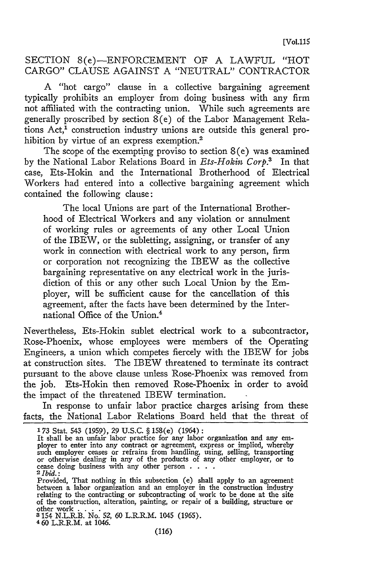## SECTION 8(e)-ENFORCEMENT OF A LAWFUL "HOT CARGO" CLAUSE AGAINST A "NEUTRAL" CONTRACTOR

A "hot cargo" clause in a collective bargaining agreement typically prohibits an employer from doing business with any firm not affiliated with the contracting union. While such agreements are generally proscribed by section 8(e) of the Labor Management Relations Act,<sup>1</sup> construction industry unions are outside this general prohibition by virtue of an express exemption.<sup>2</sup>

The scope of the exempting proviso to section  $8(e)$  was examined by the National Labor Relations Board in *Ets-Hokin Corp.3* In that case, Ets-Hokin and the International Brotherhood of Electrical Workers had entered into a collective bargaining agreement which contained the following clause:

The local Unions are part of the International Brotherhood of Electrical Workers and any violation or annulment of working rules or agreements of any other Local Union of the IBEW, or the subletting, assigning, or transfer of any work in connection with electrical work to any person, firm or corporation not recognizing the IBEW as the collective bargaining representative on any electrical work in the jurisdiction of this or any other such Local Union by the Employer, will be sufficient cause for the cancellation of this agreement, after the facts have been determined by the International Office of the Union.'

Nevertheless, Ets-Hokin sublet electrical work to a subcontractor, Rose-Phoenix, whose employees were members of the Operating Engineers, a union which competes fiercely with the IBEW for jobs at construction sites. The IBEW threatened to terminate its contract pursuant to the above clause unless Rose-Phoenix was removed from the job. Ets-Hokin then removed Rose-Phoenix in order to avoid the impact of the threatened IBEW termination.

In response to unfair labor practice charges arising from these facts, the National Labor Relations Board held that the threat of

**3** 154 N.L.R.B. No. **52, 60** L.R.R.M. 1045 **(1965).**

460 L.R.R.M. at 1046.

**<sup>173</sup>** Stat. 543 (1959), 29 U.S.C. **§** 158(e) (1964): It shall be an unfair labor practice for any labor organization and any em-<br>ployer to enter into any contract or agreement, express or implied, whereby such employer ceases or refrains from handling, using, selling, transporting<br>or otherwise dealing in any of the products of any other employer, or to<br>cease doing business with any other person  $\ldots$ .

Provided, That nothing in this subsection (e) shall apply to an agreement between a labor organization and an employer in the construction industry relating to the contracting or subcontracting of work to be done at the site of the construction, alteration, painting, or repair of a building, structure or other work . **. . .**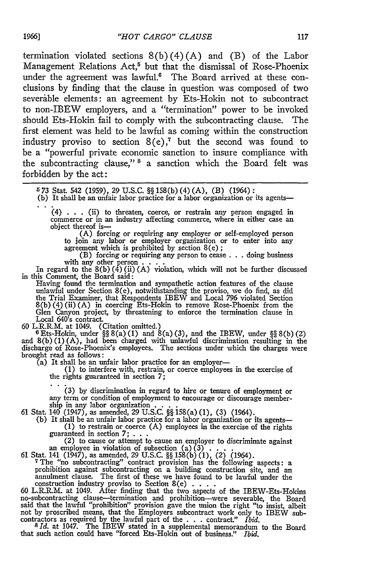termination violated sections  $8(b)(4)(A)$  and  $(B)$  of the Labor Management Relations Act,<sup>5</sup> but that the dismissal of Rose-Phoenix under the agreement was lawful.<sup>6</sup> The Board arrived at these conclusions by finding that the clause in question was composed of two severable elements: an agreement by Ets-Hokin not to subcontract to non-IBEW employers, and a "termination" power to be invoked should Ets-Hokin fail to comply with the subcontracting clause. The first element was held to be lawful as coming within the construction industry proviso to section 8(e) **, <sup>7</sup>**but the second was found to be a "powerful private economic sanction to insure compliance with the subcontracting clause,"<sup>8</sup> a sanction which the Board felt was forbidden by the act:

- (b) It shall be an unfair labor practice for a labor organization or its agents-
	- (4) . . . (ii) to threaten, coerce, or restrain any person engaged in commerce or in an industry affecting commerce, where in either case an object thereof is-

(A) forcing or requiring any employer or self-employed person to join any labor or employer organization or to enter into any agreement which is prohibited by section 8(e) **;**

(B) forcing or requiring any person to cease . . .doing business with any other person **...**..<br>In regard to the 8(b) (4) (ii) (A) violation, which will not be further discussed

in this Comment, the Board said:

Having found the termination and sympathetic action features of the clause unlawful under Section 8(e), notwithstanding the proviso, we do find, as did the Trial Examiner, that Respondents IBEW and Local 796 violated Section 8(b) (4) (ii) (A) in coercing Ets-Hokin to remove Rose-Phoenix from the Glen Canyon project, by threatening to enforce the termination clause in Local 640's contract.

60 L.R.R.M. at 1049. (Citation omitted.) **<sup>6</sup>**Ets-Hokin, under §§ 8(a) (1) and 8(a) (3), and the IBEW, under §§ 8(b) (2) and **8(b) (1) (A),** had been charged with unlawful discrimination resulting in the discharge of Rose-Phoenix's employees. The sections under which the charges were brought read as follows:

(a) It shall be an unfair labor practice for an employer- **(1)** to interfere with, restrain, or coerce employees in the exercise of the rights guaranteed in section **7;**

**(3) by** discrimination in regard to hire or tenure of employment or (3) by discrimination in regard to hire or tenure of employment or any term or condition of employment to encourage or discourage member-

ship in any labor organization...<br>61 Stat. 140 (1947), as amended, 29 U.S.C.  $\S$  158(a) (1), (3) (1964).<br>(b) It shall be an unfair labor practice for a labor organization or its agents—<br>(1) to restrain or coerce (A) emplo

guaranteed in section  $7; \ldots$ <br>
(2) to cause or attempt to cause an employer to discriminate agains<br>an employee in violation of subsection (a)  $(3)$ ....

**61** Stat. 141 (1947), as amended, 29 U.S.C. §§ **158(b)** (1), (2) (1964).

<sup>7</sup> The "no subcontracting" contract provision has the following aspects: a prohibition against subcontracting on a building construction site, and an annulment clause. The first of these we have found to be lawful under

said that the lawful "prohibition" provision gave the union the right "to insist, albeit not by proscribed means, that the Employers subcontract work only to IBEW sub-<br>contractors as required by the lawful part of the . . . contract." *Ibid.*<br> $8 Id.$  at 1047. The IBEW stated in a supplemental memorandum to the

that such action could have "forced Ets-Hokin out of business.' *Ibid.*

<sup>6 73</sup> Stat 542 (1959), 29 U.S.C. §§ 158(b) (4) (A), (B) (1964):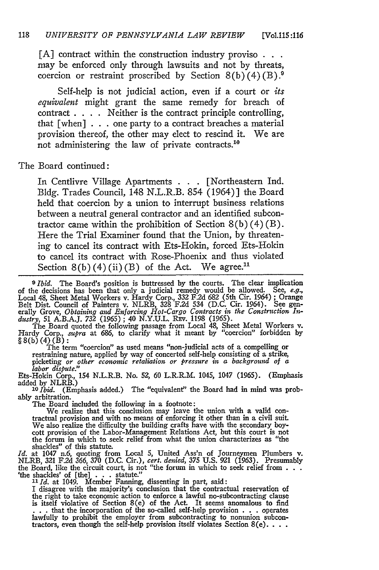**[A]** contract within the construction industry proviso **.** may be enforced only through lawsuits and not by threats, coercion or restraint proscribed by Section  $8(b)(4)(B)$ .<sup>9</sup>

Self-help is not judicial action, even if a court or *its equivalent* might grant the same remedy for breach of contract . **. .** . Neither is the contract principle controlling, that [when] . . . one party to a contract breaches a material provision thereof, the other may elect to rescind it. We are not administering the law of private contracts. $^{10}$ 

The Board continued:

In Centlivre Village Apartments **. . .** [Northeastern Ind. Bldg. Trades Council, 148 N.L.R.B. 854 (1964)] the Board held that coercion by a union to interrupt business relations between a neutral general contractor and an identified subcontractor came within the prohibition of Section  $8(b)(4)(B)$ . Here the Trial Examiner found that the Union, by threatening to cancel its contract with Ets-Hokin, forced Ets-Hokin to cancel its contract with Rose-Phoenix and thus violated Section  $8(b)(4)(ii)(B)$  of the Act. We agree.<sup>11</sup>

*0 Ibid.* The Board's position is buttressed by the courts. The clear implication of the decisions has been that only a judicial remedy would be allowed. See, e.g., Local 48, Sheet Metal Workers v. Hardy Corp., 332 F.2d 682 (5th Cir. 1964); Orange Belt Dist. Council of Painters v. NLRB, 328 F.2d 534 (D. *dustry,* 51 A.B.A.J. *732* (1965) ; 40 N.Y.U.L. Rzv. 1198 (1965).

The Board quoted the following passage from Local 48, Sheet Metal Workers v. Hardy Corp., *supra* at 686, to clarify what it meant by "coercion" forbidden by §8(b) (4) (B) **:** The term "coercion" as used means "non-judicial acts of a compelling or

restraining nature, applied by way of concerted self-help consisting of a strike, picketing *or other economic retaliation or pressure in a background of a labor dispute."*

Ets-Hokin Corp., 154 N.L.R.B. No. 52, 60 L.R.R.M. 1045, 1047 (1965). (Emphasis added by NLRB.)<br><sup>10</sup>*Ibid.* (Emphasis added.) The "equivalent" the Board had in mind was prob-

ably arbitration.

The Board included the following in a footnote: We realize that this conclusion may leave the union with a valid contractual provision and with no means of enforcing it other than in a civil suit. We also realize the difficulty the building crafts have with the secondary boy-<br>cott provision of the Labor-Management Relations Act, but this court is not<br>the forum in which to seek relief from what the union characterize

shackles" of this statute. *Id.* at 1047 n.6, quoting from Local 5, United Ass'n of Journeymen Plumbers v. NLRB, 321 F.2d 366, 370 (D.C. Cir.), *cert. denied,* 375 U.S. 921 (1963). Presumably the Board, like the circuit court, is not "the forum in which to seek relief from  $\ldots$ "<br>
<sup>1</sup>the shackles' of [the]  $\ldots$  statute."<br> *II Id.* at 1049. Member Fanning, dissenting in part, said:

I disagree with the majority's conclusion that the contractual reservation of the right to take economic action to enforce a lawful no-subcontracting clause is itself violative of Section 8(e) of the Act. It seems anomalous to find . . . that the incorporation of the so-called self-help provision . . . operates lawfully to prohibit the employer from subcontracting to nonunion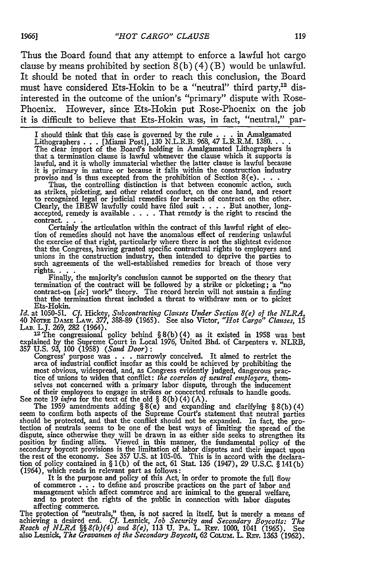Thus the Board found that any attempt to enforce a lawful hot cargo clause by means prohibited by section  $8(b)(4)(B)$  would be unlawful. It should be noted that in order to reach this conclusion, the Board must have considered Ets-Hokin to be a "neutral" third party,<sup>12</sup> disinterested in the outcome of the union's "primary" dispute with Rose-Phoenix. However, since Ets-Hokin put Rose-Phoenix on the job it is difficult to believe that Ets-Hokin was, in fact, "neutral," par-

I should think that this case is governed by the rule **. . .** in Amalgamated Lithographers **. . .** [Miami Post], **130** N.L.R.B. **968, 47** L.R.R.M. 1380 **...** The clear import of the Board's holding in Amalgamated Lithographers is that a termination clause is lawful whenever the clause which it supports is lawful, and it is wholly immaterial whether the latter clause is lawful because it is primary in nature or because it falls within the construction industry<br>it is primary in nature or because it falls within the construction industry<br>proviso and is thus excepted from the prohibition of Section 8(e)...

to recognized legal or judicial remedies for breach of contract on the other.<br>Clearly, the IBEW lawfully could have filed suit  $\dots$ . But another, long-<br>accepted, remedy is available  $\dots$ . That remedy is the right to resci

contract. **. . .** Certainly the articulation within the contract of this lawful right of election of remedies should not have the anomalous effect of rendering unlawful the exercise of that right, particularly where there is not the slightest evidence that the Congress, having granted specific contractual rights to employers and unions in the construction industry, then intended to deprive the parties to such agreements of the well-established remedies for breach of those very rights.  $\cdot$  **.** 

termination of the contract will be followed **by** a strike or picketing; a "no contract-on [sic] work" theory. The record herein will not sustain a finding that the termination threat included a threat to withdraw men or to picket that the termination threat included a threat to withdraw men or to picket Ets-Hokin.

*Id.* at 1050-51. *Cf.* Hickey, *Subcontracting Clauses Under Section 8(e) of the NLRA,* 40 NoTn DAME LAW. **377, 388-89** (1965). See also Victor, *"Hot Cargo" Clauses,* 15 LAB. L.J. **269, 282** (1964). **12The** congressional policy behind § 8(b) (4) as it existed in 1958 was best

explained by the Supreme Court in Local 1976, United Bhd. of Carpenters v. NLRB<br>357 U.S. 93, 100 (1958) (*Sand Door*):<br>Congress' purpose was . . . narrowly conceived. It aimed to restrict the<br>area of industrial conflict i

most obvious, widespread, and, as Congress evidently judged, dangerous prac-tice of unions to widen that conflict: *the coercion of neutral employers,* themselves not concerned with a primary labor dispute, through the inducement of their employees to engage in strikes or concerted refusals to handle goods.

See note 19 *infra* for the text of the old § 8(b)(4)(A).<br>The 1959 amendments adding § 8(e) and expanding and clarifying § 8(b)(4)<br>seem to confirm both aspects of the Supreme Court's statement that neutral parties<br>should dispute, since otherwise they will be drawn in as either side seeks to strengthen its position **by** finding allies. Viewed in this manner, the fundamental policy of the secondary boycott provisions is the limitation of labor disputes and their impact upon the rest of the economy. See **357 U.S.** at 105-06. This is in accord with the declara-tion of policy contained in § 1(b) of the act, 61 Stat **136** (1947), **29 U.S.C.** § 141(b)  $(1964)$ , which reads in relevant part as follows:<br>It is the purpose and policy of this Act, in order to promote the full flow

of commerce **. . .** to define and proscribe practices on the part of labor and management which affect commerce and are inimical to the general welfare, and to protect the rights of the public in connection with labor disputes affecting commerce. The protection of "neutrals," then, is not sacred in itself, but is merely a means of

achieving a desired end. *Cf. Lesnick, Job Security and Secondary Boycotts: The Reach of NLRA* §§ 8(b)(4) and 8(e), 113 U. PA. L. REV. 1000, 1041 (1965). See<br>Reach of NLRA §§ 8(b)(4) and 8(e), 113 U. PA. L. REV. 1000, 1041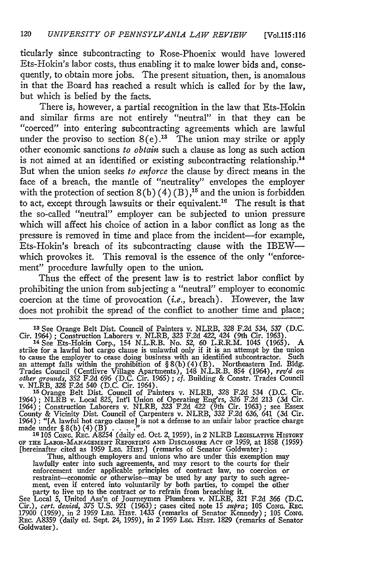ticularly since subcontracting to Rose-Phoenix would have lowered Ets-Hokin's labor costs, thus enabling it to make lower bids and, consequently, to obtain more jobs. The present situation, then, is anomalous in that the Board has reached a result which is called for by the law, but which is belied by the facts.

There is, however, a partial recognition in the law that Ets-Hokin and similar firms are not entirely "neutral" in that they can be "coerced" into entering subcontracting agreements which are lawful under the proviso to section  $8(e)$ .<sup>13</sup> The union may strike or apply other economic sanctions *to obtain* such a clause as long as such action is not aimed at an identified or existing subcontracting relationship.<sup>14</sup> But when the union seeks *to enforce* the clause by direct means in the face of a breach, the mantle of "neutrality" envelopes the employer with the protection of section  $8(b) (4) (B)$ ,<sup>15</sup> and the union is forbidden to act, except through lawsuits or their equivalent.<sup>16</sup> The result is that the so-called "neutral" employer can be subjected to union pressure which will affect his choice of action in a labor conflict as long as the pressure is removed in time and place from the incident---for example, Ets-Hokin's breach of its subcontracting clause with the IBEWwhich provokes it. This removal is the essence of the only "enforcement" procedure lawfully open to the union.

Thus the effect of the present law is to restrict labor conflict by prohibiting the union from subjecting a "neutral" employer to economic coercion at the time of provocation *(i.e.,* breach). However, the law does not prohibit the spread of the conflict to another time and place;

**<sup>15</sup>**Orange Belt Dist. Council of Painters v. NLRB, 328 F.2d 534 (D.C. Cir. 1964); NLRB v. Local 825, Int'l Union of Operating Eng'rs, 326 F.2d 213 (3d Cir. 1964); Construction Laborers v. NLRB, 323 F.2d  $\bar{4}22$  (9th Cir. 1963); see Essex<br>County & Vicinity Dist. Council of Carpenters v. NLRB, 332 F.2d 636, 641 (3d Cir.<br>1964): "[A lawful hot carge clause] is not a defense to

OF THE LABOR-MANAGEMENT REPORTING AND DISCLOSURE ACT OF 1959, at 1858 (1959)<br>[hereinafter cited as 1959 LEG. HIST.] (remarks of Senator Goldwater):<br>Thus, although employers and unions who are under this exemption may<br>lawfu

enforcement under applicable principles of contract law, no coercion or restraint-economic or otherwise-may be used by any party to such agree-ment, even if entered into voluntarily by both parties, to compel the other

party to live up to the contract or to refrain from breaching it.<br>See Local 5, United Ass'n of Journeymen Plumbers v. NLRB, 321 F.2d 366 (D.C.<br>Cir.), cert. denied, 375 U.S. 921 (1963); cases cited note 15 supra; 105 Conce. Goldwater).

**<sup>&#</sup>x27;3** See Orange Belt Dist. Council of Painters v. NLRB, 328 F.2d 534, 537 **(D.C.** Cir. 1964) ; Construction Laborers v. NLRB, 323 F.2d 422, 424 (9th Cir. 1963).

**<sup>&#</sup>x27;4** See Ets-Hokin Corp., 154 N.L.R.B. No. *52,* 60 L.R.R.M. 1045 (1965). A strike for a lawful hot cargo clause is unlawful only if it is an attempt by the union to cause the employer to cease doing business with an identified subcontractor. Such<br>an attempt falls within the prohibition of  $\S 8(b)(4)(B)$ . Northeastern Ind. Bldg<br>Trades Council (Centlive Village Apartments), 148 N.L.R.B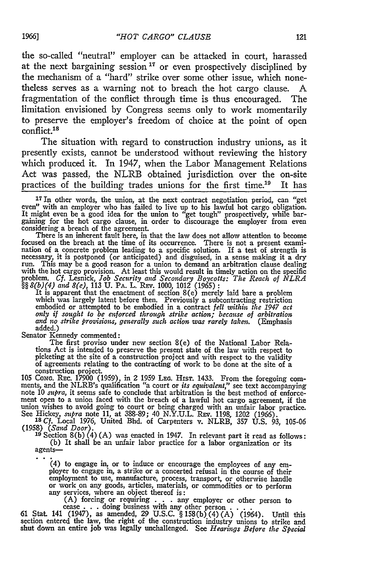the so-called "neutral" employer can be attacked in court, harassed at the next bargaining session **17** or even prospectively disciplined by the mechanism of a "hard" strike over some other issue, which nonetheless serves as a warning not to breach the hot cargo clause. A fragmentation of the conflict through time is thus encouraged. The limitation envisioned by Congress seems only to work momentarily to preserve the employer's freedom of choice at the point of open conflict.<sup>18</sup>

The situation with regard to construction industry unions, as it presently exists, cannot be understood without reviewing the history which produced it. In 1947, when the Labor Management Relations Act was passed, the NLRB obtained jurisdiction over the on-site practices of the building trades unions for the first time.<sup>19</sup> It has

<sup>17</sup> In other words, the union, at the next contract negotiation period, can "get even" with an employer who has failed to live up to his lawful hot cargo obligation.<br>It might even be a good idea for the union to "get tough" prospectively, while bar-<br>gaining for the hot cargo clause, in order to discour gaining for the hot cargo clause, in order to discourage the employer from even considering a breach of the agreement. There is an inherent fault here, in that the law does not allow attention to become

focused on the breach at the time of its occurrence. There is not a present exami-nation of a concrete problem leading to a specific solution. If a test of strength is necessary, it is postponed (or anticipated) and disguised, in a sense making it a dry<br>run. This may be a good reason for a union to demand an arbitration clause dealing<br>with the hot cargo provision. At least this would res

*§§ 8(b)(4) and 8(e),* 113 U. PA. L. REV. 1000, 1012 (1965): It is apparent that the enactment of section 8(e) merely laid bare a problem which was largely latent before then. Previously a subcontracting restriction embodied or attempted to be embodied in a contract *fell within the 1947 act only if sought to be enforced through strike action; because of arbitration and no strike provisions, generally such action was rarely taken.* (Emphasis added.)

Senator Kennedy commented:

The first proviso under new section 8(e) of the National Labor Relations Act is intended to preserve the present state of the law with respect to picketing at the site of a construction project and with respect to the validity of agreements relating to the contracting of work to be done a picketing at the site of a construction project and with respect to the validity<br>of agreements relating to the contracting of work to be done at the site of a<br>construction project.<br>105 Conc. Rec. 17900 (1959), in 2 1959 Le

note 10 *supra*, it seems safe to conclude that arbitration is the best method of enforcement open to a union faced with the breach of a lawful hot cargo agreement, if the union wishes to avoid going to court or being charged with an unfair labor practice.<br>See Hickey, *supra* note 11, at 388-89; 40 N.Y.U.L. REV. 1198, 1202 (1966).<br><sup>18</sup> Cf. Local 1976, United Bhd. of Carpenters v. NLRB, 357 U

**<sup>19</sup>**Section 8(b) (4) (A) was enacted in 1947. In relevant part it read as follows: (b) It shall be an unfair labor practice for a labor organization or its agents-

(4) to engage in, or to induce or encourage the employees of any em- ployer to engage in, a strike or a concerted refusal in the course of their employment to use, manufacture, process, transport, or otherwise handle or work on any goods, articles, materials, or commodities or to perform any services, where an object thereof is:

(A) forcing or requiring . . . any employer or other person to<br>cease . . . doing business with any other person . . . .<br>61 Stat. 141 (1947), as amended, 29 U.S.C. § 158(b)(4)(A) (1964). Until this<br>section entered the law,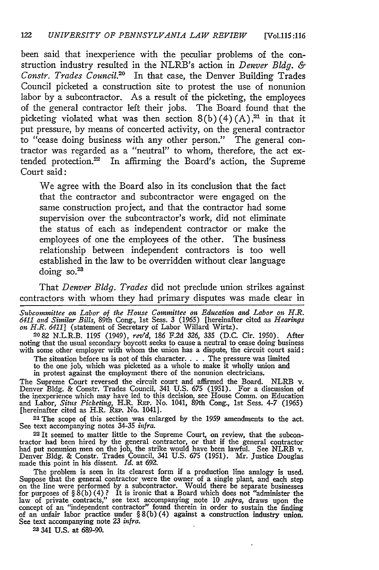been said that inexperience with the peculiar problems of the construction industry resulted in the NLRB's action in *Denver Bldg. & Constr. Trades Council.'0* In that case, the Denver Building Trades Council picketed a construction site to protest the use of nonunion labor by a subcontractor. As a result of the picketing, the employees of the general contractor left their jobs. The Board found that the picketing violated what was then section  $8(b)(4)(A)$ ,<sup>21</sup> in that it put pressure, by means of concerted activity, on the general contractor to "cease doing business with any other person." The general contractor was regarded as a "neutral" to whom, therefore, the act extended protection.<sup>22</sup> In affirming the Board's action, the Supreme Court said:

We agree with the Board also in its conclusion that the fact that the contractor and subcontractor were engaged on the same construction project, and that the contractor had some supervision over the subcontractor's work, did not eliminate the status of each as independent contractor or make the employees of one the employees of the other. The business relationship between independent contractors is too well established in the law to be overridden without clear language doing so. $23$ 

That *Denver Bldg. Trades* did not preclude union strikes against contractors with whom they had primary disputes was made clear in

*Subcommittee on Labor of the House Committee on Education and Labor on H.R. 6411 and Similar Bills,* 89th Cong., 1st Sess. **3** (1965) [hereinafter cited as *Hearings on H.R. 6411]* (statement of Secretary of Labor Willard Wirtz).

**2082** N.L.R.B. 1195 (1949), *rev'd,* 186 F.2d 326, **335** (D.C. Cir. 1950). After noting that the usual secondary boycott seeks to cause a neutral to cease doing business with some other employer with whom the union has a dispute, the circuit court said:

The situation before us is not of this character. . **.** . The pressure was limited to the one job, which was picketed as a whole to make it wholly union and

in protest against the employment there of the nonunion electricians.

The Supreme Court reversed the circuit court and affirmed the Board. NLRB v. Denver Bldg. & Constr. Trades Council, 341 U.S. *675* (1951). For a discussion of the inexperience which may have led to this decision, see House Comm. on Education and Labor, *Situs Picketing,* H.R. REP. No. 1041, 89th Cong., 1st Sess. 4-7 (1965) [hereinafter cited as H.R. REP. No. 1041].

,21The scope of this section was enlarged by the 1959 amendments to the act. See text accompanying notes 34-35 *infra.*

2 It seemed to matter little to the Supreme Court, on review, that the subcontractor had been hired by the general contractor, or that if the general contractor had put nonunion men on the job, the strike would have been lawful. See NLRB v. Denver Bldg. & Constr. Trades Council, 341 U.S. 675 (1951). Mr. Justice Douglas made this point in his dissent. *Id.* at 692.

The problem is seen in its clearest form if a production line analogy is used.<br>Suppose that the general contractor were the owner of a single plant, and each step<br>on the line were performed by a subcontractor. Would there for purposes of  $\S \hat{S}(b)$  (4)? It is ironic that a Board which does not "administer the law of private contracts," see text accompanying note 10 *supra*, draws upon the concept of an "independent contractor" found therein in order to sustain the finding of an unfair labor practice under § 8(b) (4) against a construction industry union. See text accompanying note 23 *infra.*

2 341 **U.S.** at 689-90.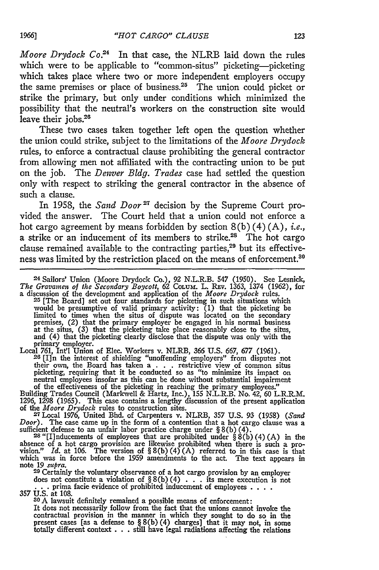*Moore Drydock Co."* In that case, the NLRB laid down the rules which were to be applicable to "common-situs" picketing--picketing which takes place where two or more independent employers occupy the same premises or place of business. $25$  The union could picket or strike the primary, but only under conditions which minimized the possibility that the neutral's workers on the construction site would leave their jobs. $28$ 

These two cases taken together left open the question whether the union could strike, subject to the limitations of the *Moore Drydock* rules, to enforce a contractual clause prohibiting the general contractor from allowing men not affiliated with the contracting union to be put on the job. The *Denver Bldg. Trades* case had settled the question only with respect to striking the general contractor in the absence of such a clause.

In 1958, the *Sand Door*<sup>27</sup> decision by the Supreme Court provided the answer. The Court held that a union could not enforce a hot cargo agreement by means forbidden by section 8(b) (4) (A), *i.e.,* a strike or an inducement of its members to strike.<sup>28</sup> The hot cargo clause remained available to the contracting parties, $29$  but its effectiveness was limited by the restriction placed on the means of enforcement.<sup>30</sup>

**24** Sailors' Union (Moore Drydock Co.), 92 N.L.R.B. 547 (1950). See Lesnick, The Gravamen of the Secondary Boycott, 62 Column. L. REV. 1363, 1374 (1962), for<br>a discussion of the development and application of the Moore Drydock rules.<br><sup>25</sup> [The Board] set out four standards for picketing in such sit

would be presumptive of valid primary activity: (1) that the picketing be limited to times when the situs of dispute was located on the secondary premises, (2) that the primary employer be engaged in his normal business at the situs, (3) that the picketing take place reasonably close to the situs, and (4) that the picketing clearly disclose that the dispute was only with the

primary employer.<br>
Local 761, Int'l Union of Elec. Workers v. NLRB, 366 U.S. 667, 677 (1961).<br>
<sup>26</sup>[I]n the interest of shielding "unoffending employers" from disputes not their own, the Board has taken a **. . .** restrictive view of common situs picketing, requiring that it be conducted so as "to minimize its impact on neutral employees insofar as this can be done without substantial impairment

of the effectiveness of the picketing in reaching the primary employees."<br>Building Trades Council (Markwell & Hartz, Inc.), 155 N.L.R.B. No. 42, 60 L.R.R.M<br>1296, 1298 (1965). This case contains a lengthy discussion of the of the *Moore Drydock* rules to construction sites. 27Local 1976, United Bhd. of Carpenters v. NLRB, 357 **U.S.** 93 (1958) *(Sand*

*Door*). The case came up in the form of a contention that a hot cargo clause was a sufficient defense to an unfair labor practice charge under  $\S(6)$  (4).<br><sup>28</sup> "[I] inducements of employees that are prohibited under  $\S(6$ 

absence of a hot cargo provision are likewise prohibited when there is such a provision." Id. at 106. The version of  $\S 8(b)(4)(A)$  referred to in this case is that which was in force before the 1959 amendments to the act. T

note 19 *supra*.<br>
<sup>29</sup> Certainly the voluntary observance of a hot cargo provision by an employer<br>
does not constitute a violation of  $\S(5)(4)$ ... its mere execution is not<br>
... prima facie evidence of prohibited inducemen

It does not necessarily follow from the fact that the unions cannot invoke the contractual provision in the manner in which they sought to do so in the present cases [as a defense to  $\S 8(b)(4)$  charges] that it may not, in some totally different context . . . still have legal radiations affecting the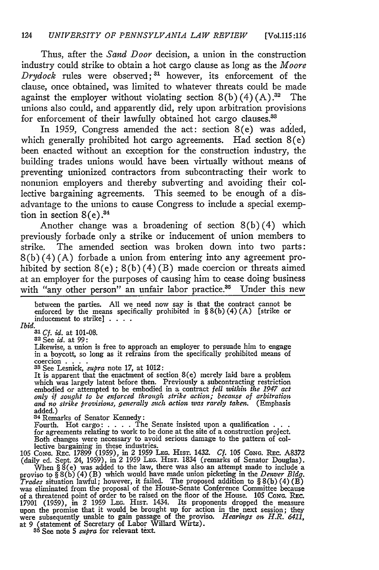Thus, after the *Sand Door* decision, a union in the construction industry could strike to obtain a hot cargo clause as long as the *Moore Drydock* rules were observed;<sup>31</sup> however, its enforcement of the clause, once obtained, was limited to whatever threats could be made against the employer without violating section  $8(b)(4)(A).^{32}$  The unions also could, and apparently did, rely upon arbitration provisions for enforcement of their lawfully obtained hot cargo clauses.<sup>33</sup>

In 1959, Congress amended the act: section 8(e) was added, which generally prohibited hot cargo agreements. Had section 8(e) been enacted without an exception for the construction industry, the building trades unions would have been virtually without means of preventing unionized contractors from subcontracting their work to nonunion employers and thereby subverting and avoiding their collective bargaining agreements. This seemed to be enough of a disadvantage to the unions to cause Congress to include a special exemption in section  $8(e).^{34}$ 

Another change was a broadening of section  $8(b)(4)$  which previously forbade only a strike or inducement of union members to strike. The amended section was broken down into two parts: 8(b) (4) (A) forbade a union from entering into any agreement prohibited by section  $8(e)$ ;  $8(b)(4)(B)$  made coercion or threats aimed at an employer for the purposes of causing him to cease doing business with "any other person" an unfair labor practice.<sup>35</sup> Under this new

between the parties. All we need now say is that the contract cannot be enforced by the means specifically prohibited in § 8(b) (4) **(A)** [strike or inducement to strike] **....**

*Ibid.*

*<sup>31</sup>Cf. id.* at 101-08. **32** See *id.* at 99:

 $32$  See *id*. at 99:<br>Likewise, a union is free to approach an employer to persuade him to engage in a boycott, so long as it refrains from the specifically prohibited means of coercion **.... 33** See Lesnick, *supra* note **17,** at 1012: It is apparent that the enactment of section 8(e) merely laid bare a problem

which was largely latent before then. Previously a subcontracting restriction embodied or attempted to be embodied in a contract *fell within the 1947 act only if sought to be enforced through strike action; because of arbitration and no strike provisions, generally sutch action was rarely taken.* (Emphasis added.) **<sup>3</sup>**

**4** Remarks of Senator Kennedy:

Fourth. Hot cargo: . **. .** . The Senate insisted upon a qualification **. . .** for agreements relating to work to be done at the site of a construction project. Both changes were necessary to avoid serious damage to the pattern of col-<br>lective bargaining in these industries.<br>105 Cong. Rec. 17899 (1959), in 2 1959 Leg. HIst. 1432. *Cf.* 105 Cong. Rec. A8372

(daily ed. Sept. 24, 1959), in 2 1959 LEG. HIST. 1834 (remarks of Senator Douglas).<br>When  $\S$  8(e) was added to the law, there was also an attempt made to include a proviso to  $\S$  8(b)(4)(B) which would have made union pic *Trades* situation lawful; however, it failed. The proposed addition to  $\S 8(b) (4) (B)$  was eliminated from the proposal of the House-Senate Conference Committee because of a threatened point of order to be raised on the fl upon the promise that it would be brought up for action in the next session; they were subsequently unable to gain passage of the proviso. *Hearings on H.R. 6411,* at 9 (statement of Secretary of Labor Willard Wirtz). **<sup>3</sup> <sup>5</sup>**See note **5** *supra* for relevant text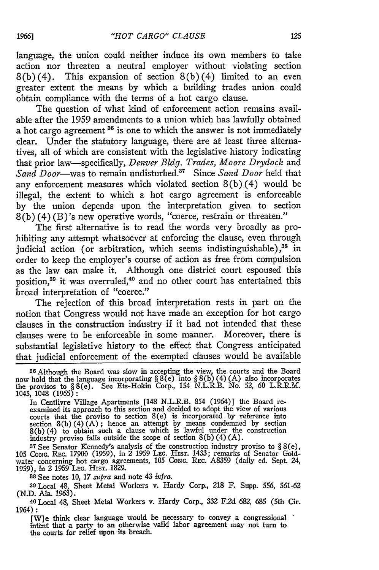language, the union could neither induce its own members to take action nor threaten a neutral employer without violating section  $8(b)(4)$ . This expansion of section  $8(b)(4)$  limited to an even greater extent the means by which a building trades union could obtain compliance with the terms of a hot cargo clause.

The question of what kind of enforcement action remains available after the 1959 amendments to a union which has lawfully obtained a hot cargo agreement **86** is one to which the answer is not immediately clear. Under the statutory language, there are at least three alternatives, all of which are consistent with the legislative history indicating that prior law-specifically, *Denver Bldg. Trades, Moore Drydock* and Sand *Door*—was to remain undisturbed.<sup>37</sup> Since Sand Door held that any enforcement measures which violated section  $8(b)(4)$  would be illegal, the extent to which a hot cargo agreement is enforceable by the union depends upon the interpretation given to section 8(b) (4) (B)'s new operative words, "coerce, restrain or threaten."

The first alternative is to read the words very broadly as prohibiting any attempt whatsoever at enforcing the clause, even through judicial action (or arbitration, which seems indistinguishable),<sup>38</sup> in order to keep the employer's course of action as free from compulsion as the law can make it. Although one district court espoused this position,<sup>39</sup> it was overruled,<sup>40</sup> and no other court has entertained this broad interpretation of "coerce."

The rejection of this broad interpretation rests in part on the notion that Congress would not have made an exception for hot cargo clauses in the construction industry if it had not intended that these clauses were to be enforceable in some manner. Moreover, there is substantial legislative history to the effect that Congress anticipated that judicial enforcement of the exempted clauses would be available

In Centlivre Village Apartments [148 N.L.R.B. 854 (1964)] the Board re-examined its approach to this section and decided to adopt the view of various courts that the proviso to section  $8(e)$  is incorporated by reference into<br>section  $8(b)(4)(A)$ ; hence an attempt by means condemned by section<br> $8(b)(4)$  to obtain such a clause which is lawful under the construction<br>industry

**<sup>37</sup>**See Senator Kennedy's analysis of the construction industry proviso to § 8(e), 105 CoNG. REc. 17900 (1959), in 2 1959 **LEG.** HIST. 1433; remarks of Senator Goldwater concerning hot cargo agreements, 105 *CoNG.* REc. A8359 (daily ed. Sept. 24, 1959), in 2 1959 **LEG.** HIST. 1829.

**<sup>38</sup>**See notes 10, *17 supra* and note 43 *infra.*

**<sup>39</sup>**Local 48, Sheet Metal Workers v. Hardy Corp., **218** F. **Supp.** *556,* 561-62

(N.D. Ala. 1963). <sup>4</sup> o Local 48, Sheet Metal Workers v. Hardy Corp., **332 F.2d 682,** 685 (5th Cir. 1964) **:**

[Wie think clear language would be necessary to convey a congressional intent that a party to an otherwise valid labor agreement may not turn to the courts for relief upon its breach.

**<sup>3</sup> <sup>6</sup>**Although the Board was slow in accepting the view, the courts and the Board now hold that the language incorporating § 8(e) into § 8(b) (4) **(A)** also incorporates the provisos to § 8(e). See Ets-Hokin Corp., 154 N.L.R.B. No. **52,** 60 L.R.R.M. 1045, 1048 (1965):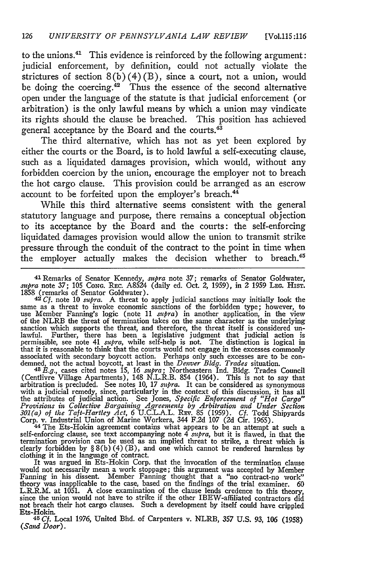to the unions. $41$  This evidence is reinforced by the following argument: judicial enforcement, by definition, could not actually violate the strictures of section  $8(b)(4)(B)$ , since a court, not a union, would be doing the coercing.<sup>42</sup> Thus the essence of the second alternative open under the language of the statute is that judicial enforcement (or arbitration) is the only lawful means by which a union may vindicate its rights should the clause be breached. This position has achieved general acceptance by the Board and the courts.<sup>43</sup>

The third alternative, which has not as yet been explored by either the courts or the Board, is to hold lawful a self-executing clause, such as a liquidated damages provision, which would, without any forbidden coercion by the union, encourage the employer not to breach the hot cargo clause. This provision could be arranged as an escrow account to be forfeited upon the employer's breach.<sup>44</sup>

While this third alternative seems consistent with the general statutory language and purpose, there remains a conceptual objection to its acceptance by the Board and the courts: the self-enforcing liquidated damages provision would allow the union to transmit strike pressure through the conduit of the contract to the point in time when the employer actually makes the decision whether to breach.<sup>45</sup>

<sup>41</sup> Remarks of Senator Kennedy, *supra* note 37; remarks of Senator Goldwater,

supra note 37; 105 Conc. Rec. A8524 (daily ed. Oct. 2, 1959), in 2 1959 Lec. Hisr.<br>1858 (remarks of Senator Goldwater).<br><sup>42</sup>Cf, note 10 *supra*. A threat to apply judicial sanctions may initially look the<br>same as a threat of the NLRB the threat of termination takes on the same character as the underlying<br>sanction which supports the threat, and therefore, the threat itself is considered un-<br>lawful. Further, there has been a legislative judgm permissible, see note 41 *supra,* while self-help is not. The distinction is logical in that it is reasonable to think that the courts would not engage in the excesses commonly<br>associated with secondary boycott action. Perhaps only such excesses are to be con-<br>demned, not the actual boycott, at least in the

(Centlivre Village Apartments), 148 N.L.R.B. 854 (1964). This is not to say that arbitration is precluded. See notes 10, *17 supra.* It can be considered as synonymous with a judicial remedy, since, particularly in the context of this discussion, it has all<br>the attributes of judicial action. See Jones, Specific Enforcement of "Hot Cargo"<br>Provisions in Collective Bargaining Agreements by *301(a) of the Taft-Hartley Act, 6* **U.C.L.A.L. REv. 85** (1959). *Cf.* Todd Shipyards

Corp. v. Industrial Union of Marine Workers, 344 F.2d 107 (2d Cir. 1965).<br>
<sup>44</sup> The Ets-Hokin agreement contains what appears to be an attempt at such a<br>
self-enforcing clause, see text accompanying note 4 *supra*, but it

would not necessarily mean a work stoppage; this argument was accepted **by** Member Fanning in his dissent. Member Fanning thought that a "no contract-no work" theory was inapplicable to the case, based on the findings of the trial examiner. 60<br>L.R.R.M. at 1051. A close examination of the clause lends credence to this theory,<br>since the union would not have to strike if the other not breach their hot cargo clauses. Such a development **by** itself could have crippled Ets-Hokin. **45** *Cf.* Local 1976, United Bhd. of Carpenters v. NLRB, 357 U.S. *93, 106* (1958)

<sup>45</sup> *Cf.* Local 1976, United Bhd. of Carpenters v. NLRB, 357 U.S. 93, 106 (1958) (Sand Door).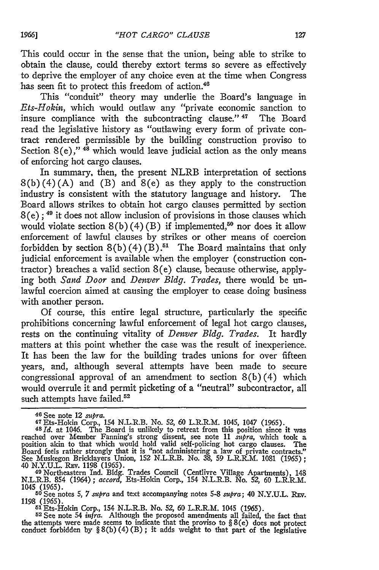This could occur in the sense that the union, being able to strike to obtain the clause, could thereby extort terms so severe as effectively to deprive the employer of any choice even at the time when Congress has seen fit to protect this freedom of action.<sup>46</sup>

This "conduit" theory may underlie the Board's language in *Ets-Hokin,* which would outlaw any "private economic sanction to insure compliance with the subcontracting clause." 47 The Board read the legislative history as "outlawing every form of private contract rendered permissible by the building construction proviso to Section  $8(e)$ ,"  $48$  which would leave judicial action as the only means of enforcing hot cargo clauses.

In summary, then, the present NLRB interpretation of sections  $8(b)(4)(A)$  and  $(B)$  and  $8(e)$  as they apply to the construction industry is consistent with the statutory language and history. The Board allows strikes to obtain hot cargo clauses permitted by section **8** (e) ; **"** it does not allow inclusion of provisions in those clauses which would violate section  $8(b)(4)(B)$  if implemented,<sup>50</sup> nor does it allow enforcement of lawful clauses by strikes or other means of coercion forbidden by section  $8(b)(4)(B)$ .<sup>51</sup> The Board maintains that only judicial enforcement is available when the employer (construction contractor) breaches a valid section 8(e) clause, because otherwise, applying both *Sand Door* and *Denver Bldg. Trades,* there would be unlawful coercion aimed at causing the employer to cease doing business with another person.

Of course, this entire legal structure, particularly the specific prohibitions concerning lawful enforcement of legal hot cargo clauses, rests on the continuing vitality of *Denver Bldg. Trades.* It hardly matters at this point whether the case was the result of inexperience. It has been the law for the building trades unions for over fifteen years, and, although several attempts have been made to secure congressional approval of an amendment to section  $8(b)(4)$  which would overrule it and permit picketing of a "neutral" subcontractor, all such attempts have failed.<sup>52</sup>

51 Ets-Hokin Corp., 154 N.L.R.B. No. *52, 60* L.R.R.M. 1045 (1965).

**<sup>52</sup>**See note 54 *infra.* Although the proposed amendments all failed, the fact that the attempts were made seems to indicate that the proviso to § 8(e) does not protect conduct forbidden by  $\S 8(b)(4)(B)$ ; it adds weight to that part of the legislative

<sup>46</sup> See note 12 *supra.*<br>47 Ets-Hokin Corp., 154 N.L.R.B. No. 52, 60 L.R.R.M. 1045, 1047 (1965).<br>48*Id.* at 1046. The Board is unlikely to retreat from this position since it was

reached over Member Fanning's strong dissent, see note 11 *supra,* which took a position akin to that which would hold valid self-policing hot cargo clauses. The Board feels rather strongly that it is "not administering a law of private contracts." See Muskegon Bricklayers Union, 152 N.L.R.B. No. 38, 59 L.R.R.M. 1081 (1965); 40 N.Y.U.L. REv. 1198 (1965).

**<sup>49</sup>** Northeastern Ind. Bldg. Trades Council (Centlivre Village Apartments), 148 N.L.R.B. 854 (1964); *accord,* Ets-Hokin Corp., 154 N.L.R.B. No. 52, 60 L.R.R.M.

<sup>1045 (1965).</sup> **<sup>50</sup>**See notes **5,** *7 supra* and text accompanying notes 5-8 *supra;* 40 **N.Y.U.L. REv.** 1198 (1965).